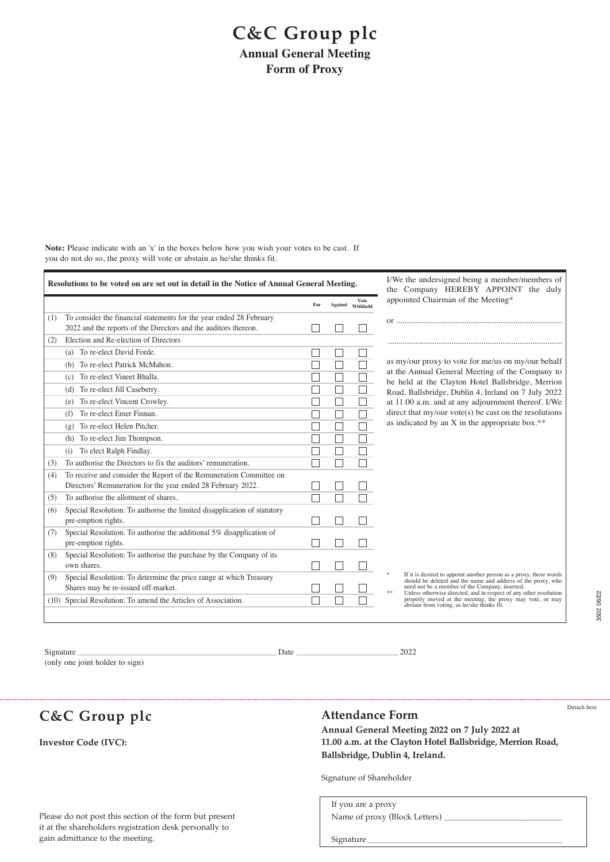## **C&C Group plc**

**Annual General Meeting Form of Proxy**

**Note:** Please indicate with an 'x' in the boxes below how you wish your votes to be cast. If you do not do so, the proxy will vote or abstain as he/she thinks fit.

| Resolutions to be voted on are set out in detail in the Notice of Annual General Meeting. |                                                                          |     |               | I/We the undersigned being a member/members of<br>the Company HEREBY APPOINT the duly |                                                                                                                                                            |
|-------------------------------------------------------------------------------------------|--------------------------------------------------------------------------|-----|---------------|---------------------------------------------------------------------------------------|------------------------------------------------------------------------------------------------------------------------------------------------------------|
|                                                                                           |                                                                          | For | Against       | Vote<br>Withheld                                                                      | appointed Chairman of the Meeting*                                                                                                                         |
| (1)                                                                                       | To consider the financial statements for the year ended 28 February      |     |               |                                                                                       |                                                                                                                                                            |
|                                                                                           | 2022 and the reports of the Directors and the auditors thereon.          |     |               |                                                                                       |                                                                                                                                                            |
| (2)                                                                                       | Election and Re-election of Directors                                    |     |               |                                                                                       |                                                                                                                                                            |
|                                                                                           | (a) To re-elect David Forde.                                             |     |               |                                                                                       |                                                                                                                                                            |
|                                                                                           | (b) To re-elect Patrick McMahon.                                         |     | Τ             |                                                                                       | as my/our proxy to vote for me/us on my/our behalf<br>at the Annual General Meeting of the Company to<br>be held at the Clayton Hotel Ballsbridge, Merrion |
|                                                                                           | To re-elect Vineet Bhalla.<br>(c)                                        |     |               |                                                                                       |                                                                                                                                                            |
|                                                                                           | To re-elect Jill Caseberry.<br>(d)                                       |     | $\Box$        | $\Box$                                                                                | Road, Ballsbridge, Dublin 4, Ireland on 7 July 2022                                                                                                        |
|                                                                                           | To re-elect Vincent Crowley.<br>(e)                                      |     | J.            |                                                                                       | at 11.00 a.m. and at any adjournment thereof. I/We                                                                                                         |
|                                                                                           | To re-elect Emer Finnan.<br>(f)                                          |     |               |                                                                                       | direct that $my/our$ vote(s) be cast on the resolutions                                                                                                    |
|                                                                                           | To re-elect Helen Pitcher.<br>(g)                                        |     | J.            |                                                                                       | as indicated by an X in the appropriate box.**                                                                                                             |
|                                                                                           | To re-elect Jim Thompson.<br>(h)                                         |     | $\mathcal{L}$ |                                                                                       |                                                                                                                                                            |
|                                                                                           | To elect Ralph Findlay.<br>(i)                                           |     |               |                                                                                       |                                                                                                                                                            |
| (3)                                                                                       | To authorise the Directors to fix the auditors' remuneration.            |     | $\mathcal{L}$ |                                                                                       |                                                                                                                                                            |
| (4)                                                                                       | To receive and consider the Report of the Remuneration Committee on      |     |               |                                                                                       |                                                                                                                                                            |
|                                                                                           | Directors' Remuneration for the year ended 28 February 2022.             |     |               |                                                                                       |                                                                                                                                                            |
| (5)                                                                                       | To authorise the allotment of shares.                                    | П   | $\sim$        |                                                                                       |                                                                                                                                                            |
| (6)                                                                                       | Special Resolution: To authorise the limited disapplication of statutory |     |               |                                                                                       |                                                                                                                                                            |
|                                                                                           | pre-emption rights.                                                      |     |               |                                                                                       |                                                                                                                                                            |
| (7)                                                                                       | Special Resolution: To authorise the additional 5% disapplication of     |     |               |                                                                                       |                                                                                                                                                            |
|                                                                                           | pre-emption rights.                                                      |     |               |                                                                                       |                                                                                                                                                            |
| (8)                                                                                       | Special Resolution: To authorise the purchase by the Company of its      |     |               |                                                                                       |                                                                                                                                                            |
|                                                                                           | own shares.                                                              |     |               |                                                                                       | If it is desired to appoint another person as a proxy, these words                                                                                         |
| (9)                                                                                       | Special Resolution: To determine the price range at which Treasury       |     |               |                                                                                       | should be deleted and the name and address of the proxy, who<br>need not be a member of the Company, inserted.                                             |
|                                                                                           | Shares may be re-issued off-market.                                      |     |               |                                                                                       | Unless otherwise directed, and in respect of any other resolution                                                                                          |
|                                                                                           | (10) Special Resolution: To amend the Articles of Association.           |     |               |                                                                                       | properly moved at the meeting, the proxy may vote, or may<br>abstain from voting, as he/she thinks fit.                                                    |
|                                                                                           |                                                                          |     |               |                                                                                       |                                                                                                                                                            |

Signature \_\_\_\_\_\_\_\_\_\_\_\_\_\_\_\_\_\_\_\_\_\_\_\_\_\_\_\_\_\_\_\_\_\_\_\_\_\_\_\_\_\_\_\_\_\_\_\_\_\_\_\_\_\_\_\_\_\_\_\_\_\_\_\_\_\_\_\_\_\_\_\_\_\_\_\_\_\_ Date \_\_\_\_\_\_\_\_\_\_\_\_\_\_\_\_\_\_\_\_\_\_\_\_\_\_\_\_\_\_\_\_\_\_\_\_\_\_\_\_ 2022

(only one joint holder to sign)

**C&C Group plc**

**Investor Code (IVC):**

## **Attendance Form**

Detach here

3502 06/22

3502 06/22

**Annual General Meeting 2022 on 7 July 2022 at 11.00 a.m. at the Clayton Hotel Ballsbridge, Merrion Road, Ballsbridge, Dublin 4, Ireland.**

Signature of Shareholder

If you are a proxy Name of proxy (Block Letters) Signature

Please do not post this section of the form but present it at the shareholders registration desk personally to gain admittance to the meeting.